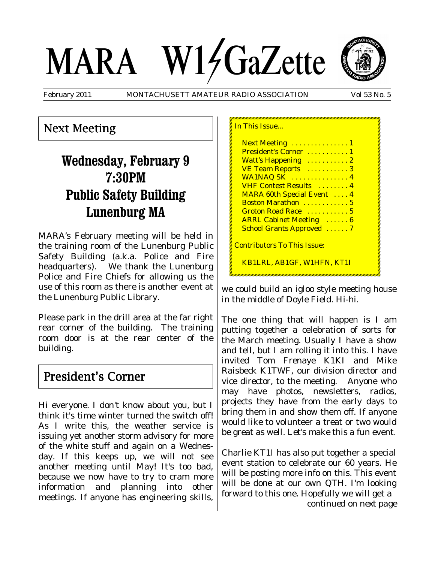# MARA W14GaZette

February 2011 MONTACHUSETT AMATEUR RADIO ASSOCIATION Vol 53 No. 5

### Next Meeting

# **Wednesday, February 9 7:30PM Public Safety Building Lunenburg MA**

MARA's February meeting will be held in the training room of the Lunenburg Public Safety Building (a.k.a. Police and Fire headquarters). We thank the Lunenburg Police and Fire Chiefs for allowing us the use of this room as there is another event at the Lunenburg Public Library.

Please park in the drill area at the far right rear corner of the building. The training room door is at the rear center of the building.

## President's Corner

Hi everyone. I don't know about you, but I think it's time winter turned the switch off! As I write this, the weather service is issuing yet another storm advisory for more of the white stuff and again on a Wednesday. If this keeps up, we will not see another meeting until May! It's too bad, because we now have to try to cram more information and planning into other meetings. If anyone has engineering skills,

| President's Corner  1              |  |
|------------------------------------|--|
|                                    |  |
| Watt's Happening  2                |  |
| VE Team Reports 3                  |  |
| WA1NAQ SK  4                       |  |
| <b>VHF Contest Results</b> 4       |  |
| <b>MARA 60th Special Event  4</b>  |  |
| Boston Marathon  5                 |  |
| Groton Road Race  5                |  |
| <b>ARRL Cabinet Meeting  6</b>     |  |
| <b>School Grants Approved</b> 7    |  |
| <b>Contributors To This Issue:</b> |  |

we could build an igloo style meeting house in the middle of Doyle Field. Hi-hi.

The one thing that will happen is I am putting together a celebration of sorts for the March meeting. Usually I have a show and tell, but I am rolling it into this. I have invited Tom Frenaye K1KI and Mike Raisbeck K1TWF, our division director and vice director, to the meeting. Anyone who may have photos, newsletters, radios, projects they have from the early days to bring them in and show them off. If anyone would like to volunteer a treat or two would be great as well. Let's make this a fun event.

Charlie KT1I has also put together a special event station to celebrate our 60 years. He will be posting more info on this. This event will be done at our own QTH. I'm looking forward to this one. Hopefully we will get a *continued on next page*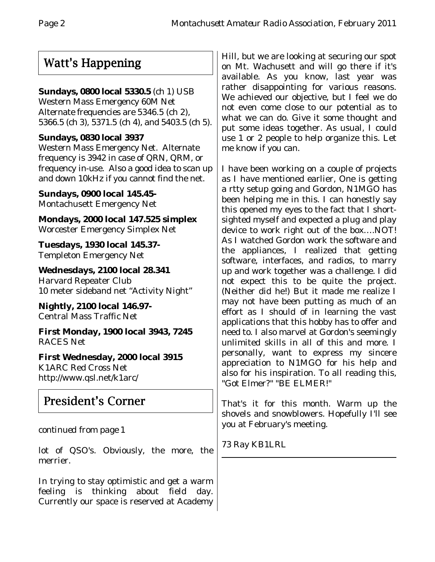## Watt's Happening

#### **Sundays, 0800 local 5330.5** (ch 1) USB

Western Mass Emergency 60M Net Alternate frequencies are 5346.5 (ch 2), 5366.5 (ch 3), 5371.5 (ch 4), and 5403.5 (ch 5).

#### **Sundays, 0830 local 3937**

Western Mass Emergency Net. Alternate frequency is 3942 in case of QRN, QRM, or frequency in-use. Also a good idea to scan up and down 10kHz if you cannot find the net.

**Sundays, 0900 local 145.45-** Montachusett Emergency Net

**Mondays, 2000 local 147.525 simplex** Worcester Emergency Simplex Net

**Tuesdays, 1930 local 145.37-** Templeton Emergency Net

**Wednesdays, 2100 local 28.341** Harvard Repeater Club 10 meter sideband net "Activity Night"

**Nightly, 2100 local 146.97-** Central Mass Traffic Net

**First Monday, 1900 local 3943, 7245** RACES Net

**First Wednesday, 2000 local 3915** K1ARC Red Cross Net http://www.qsl.net/k1arc/

# President's Corner

#### *continued from page 1*

lot of QSO's. Obviously, the more, the merrier.

In trying to stay optimistic and get a warm feeling is thinking about field day. Currently our space is reserved at Academy

Hill, but we are looking at securing our spot on Mt. Wachusett and will go there if it's available. As you know, last year was rather disappointing for various reasons. We achieved our objective, but I feel we do not even come close to our potential as to what we can do. Give it some thought and put some ideas together. As usual, I could use 1 or 2 people to help organize this. Let me know if you can.

I have been working on a couple of projects as I have mentioned earlier, One is getting a rtty setup going and Gordon, N1MGO has been helping me in this. I can honestly say this opened my eyes to the fact that I shortsighted myself and expected a plug and play device to work right out of the box….NOT! As I watched Gordon work the software and the appliances, I realized that getting software, interfaces, and radios, to marry up and work together was a challenge. I did not expect this to be quite the project. (Neither did he!) But it made me realize I may not have been putting as much of an effort as I should of in learning the vast applications that this hobby has to offer and need to. I also marvel at Gordon's seemingly unlimited skills in all of this and more. I personally, want to express my sincere appreciation to N1MGO for his help and also for his inspiration. To all reading this, "Got Elmer?" "BE ELMER!"

That's it for this month. Warm up the shovels and snowblowers. Hopefully I'll see you at February's meeting.

73 Ray KB1LRL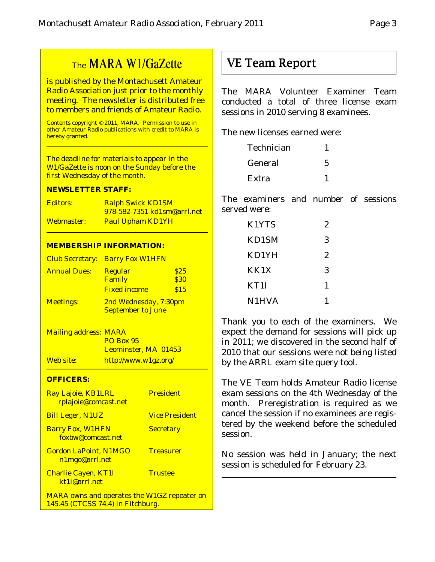## The MARA W1/GaZette

is published by the Montachusett Amateur Radio Association just prior to the monthly meeting. The newsletter is distributed free to members and friends of Amateur Radio.

Contents copyright © 2011, MARA. Permission to use in other Amateur Radio publications with credit to MARA is hereby granted.

The deadline for materials to appear in the W1/GaZette is noon on the Sunday before the first Wednesday of the month.

#### **NEWSLETTER STAFF:**

| Editors:   | <b>Ralph Swick KD1SM</b>           |
|------------|------------------------------------|
|            | <u>978-582-7351 kd1sm@arrl.net</u> |
| Webmaster: | <b>Paul Upham KD1YH</b>            |

#### **MEMBERSHIP INFORMATION:**

|                     | <b>Club Secretary: Barry Fox W1HFN</b> |      |
|---------------------|----------------------------------------|------|
| <b>Annual Dues:</b> | <b>Regular</b>                         | \$25 |
|                     | Family                                 | \$30 |
|                     | <b>Fixed income</b>                    | \$15 |
| <b>Meetings:</b>    | 2nd Wednesday, 7:30pm                  |      |
|                     | <b>September to June</b>               |      |

Mailing address: MARA PO Box 95 Leominster, MA 01453 Web site: http://www.w1gz.org/

#### **OFFICERS:**

| Ray Lajoie, KB1LRL<br>rplajoie@comcast.net                                              | <b>President</b>      |
|-----------------------------------------------------------------------------------------|-----------------------|
| <b>Bill Leger, N1UZ</b>                                                                 | <b>Vice President</b> |
| <b>Barry Fox, W1HFN</b><br>foxbw@comcast.net                                            | <b>Secretary</b>      |
| <b>Gordon LaPoint, N1MGO</b><br>n1mgo@arrl.net                                          | <b>Treasurer</b>      |
| <b>Charlie Cayen, KT1I</b><br>kt1j@arrl.net                                             | <b>Trustee</b>        |
| <b>MARA owns and operates the W1GZ repeater on</b><br>145.45 (CTCSS 74.4) in Fitchburg. |                       |

## VE Team Report

The MARA Volunteer Examiner Team conducted a total of three license exam sessions in 2010 serving 8 examinees.

The new licenses earned were:

| Technician |  |
|------------|--|
| General    |  |
| Extra      |  |

The examiners and number of sessions served were:

| K1YTS | 2 |
|-------|---|
| KD1SM | 3 |
| KD1YH | 2 |
| KK1X  | 3 |
| KT1I  | 1 |
| N1HVA |   |

Thank you to each of the examiners. We expect the demand for sessions will pick up in 2011; we discovered in the second half of 2010 that our sessions were not being listed by the ARRL exam site query tool.

The VE Team holds Amateur Radio license exam sessions on the 4th Wednesday of the month. Preregistration is required as we cancel the session if no examinees are registered by the weekend before the scheduled session.

No session was held in January; the next session is scheduled for February 23.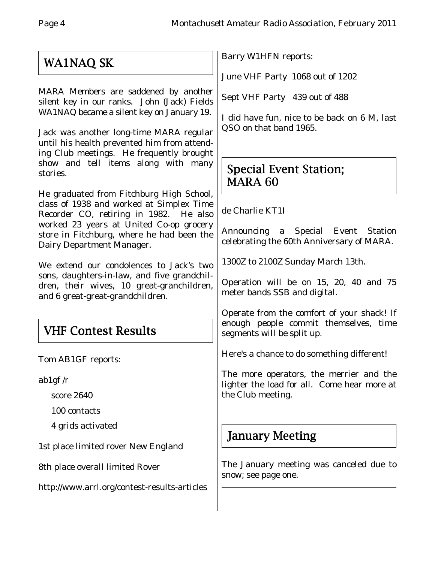# WA1NAQ SK

MARA Members are saddened by another silent key in our ranks. John (Jack) Fields WA1NAQ became a silent key on January 19.

Jack was another long-time MARA regular until his health prevented him from attending Club meetings. He frequently brought show and tell items along with many stories.

He graduated from Fitchburg High School, class of 1938 and worked at Simplex Time Recorder CO, retiring in 1982. He also worked 23 years at United Co-op grocery store in Fitchburg, where he had been the Dairy Department Manager.

We extend our condolences to Jack's two sons, daughters-in-law, and five grandchildren, their wives, 10 great-granchildren, and 6 great-great-grandchildren.

# VHF Contest Results

Tom AB1GF reports:

ab1gf /r

score 2640

100 contacts

4 grids activated

1st place limited rover New England

8th place overall limited Rover

http://www.arrl.org/contest-results-articles

Barry W1HFN reports:

June VHF Party 1068 out of 1202

Sept VHF Party 439 out of 488

I did have fun, nice to be back on 6 M, last QSO on that band 1965.

## Special Event Station; MARA 60

de Charlie KT1I

Announcing a Special Event Station celebrating the 60th Anniversary of MARA.

1300Z to 2100Z Sunday March 13th.

Operation will be on 15, 20, 40 and 75 meter bands SSB and digital.

Operate from the comfort of your shack! If enough people commit themselves, time segments will be split up.

Here's a chance to do something different!

The more operators, the merrier and the lighter the load for all. Come hear more at the Club meeting.

## January Meeting

The January meeting was canceled due to snow; see page one.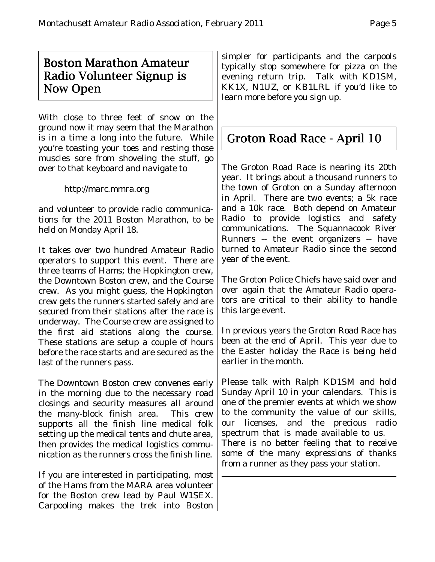## Boston Marathon Amateur Radio Volunteer Signup is Now Open

With close to three feet of snow on the ground now it may seem that the Marathon is in a time a long into the future. While you're toasting your toes and resting those muscles sore from shoveling the stuff, go over to that keyboard and navigate to

http://marc.mmra.org

and volunteer to provide radio communications for the 2011 Boston Marathon, to be held on Monday April 18.

It takes over two hundred Amateur Radio operators to support this event. There are three teams of Hams; the Hopkington crew, the Downtown Boston crew, and the Course crew. As you might guess, the Hopkington crew gets the runners started safely and are secured from their stations after the race is underway. The Course crew are assigned to the first aid stations along the course. These stations are setup a couple of hours before the race starts and are secured as the last of the runners pass.

The Downtown Boston crew convenes early in the morning due to the necessary road closings and security measures all around the many-block finish area. This crew supports all the finish line medical folk setting up the medical tents and chute area, then provides the medical logistics communication as the runners cross the finish line.

If you are interested in participating, most of the Hams from the MARA area volunteer for the Boston crew lead by Paul W1SEX. Carpooling makes the trek into Boston

simpler for participants and the carpools typically stop somewhere for pizza on the evening return trip. Talk with KD1SM, KK1X, N1UZ, or KB1LRL if you'd like to learn more before you sign up.

# Groton Road Race - April 10

The Groton Road Race is nearing its 20th year. It brings about a thousand runners to the town of Groton on a Sunday afternoon in April. There are two events; a 5k race and a 10k race. Both depend on Amateur Radio to provide logistics and safety communications. The Squannacook River Runners -- the event organizers -- have turned to Amateur Radio since the second year of the event.

The Groton Police Chiefs have said over and over again that the Amateur Radio operators are critical to their ability to handle this large event.

In previous years the Groton Road Race has been at the end of April. This year due to the Easter holiday the Race is being held earlier in the month.

Please talk with Ralph KD1SM and hold Sunday April 10 in your calendars. This is one of the premier events at which we show to the community the value of our skills, our licenses, and the precious radio spectrum that is made available to us. There is no better feeling that to receive some of the many expressions of thanks from a runner as they pass your station.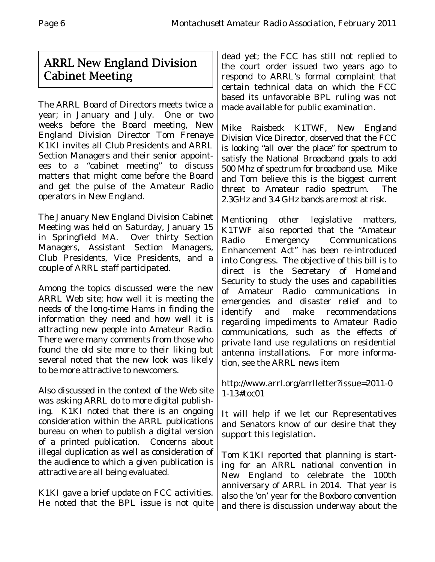## ARRL New England Division Cabinet Meeting

The ARRL Board of Directors meets twice a year; in January and July. One or two weeks before the Board meeting, New England Division Director Tom Frenaye K1KI invites all Club Presidents and ARRL Section Managers and their senior appointees to a "cabinet meeting" to discuss matters that might come before the Board and get the pulse of the Amateur Radio operators in New England.

The January New England Division Cabinet Meeting was held on Saturday, January 15 in Springfield MA. Over thirty Section Managers, Assistant Section Managers, Club Presidents, Vice Presidents, and a couple of ARRL staff participated.

Among the topics discussed were the new ARRL Web site; how well it is meeting the needs of the long-time Hams in finding the information they need and how well it is attracting new people into Amateur Radio. There were many comments from those who found the old site more to their liking but several noted that the new look was likely to be more attractive to newcomers.

Also discussed in the context of the Web site was asking ARRL do to more digital publishing. K1KI noted that there is an ongoing consideration within the ARRL publications bureau on when to publish a digital version of a printed publication. Concerns about illegal duplication as well as consideration of the audience to which a given publication is attractive are all being evaluated.

K1KI gave a brief update on FCC activities. He noted that the BPL issue is not quite

dead yet; the FCC has still not replied to the court order issued two years ago to respond to ARRL's formal complaint that certain technical data on which the FCC based its unfavorable BPL ruling was not made available for public examination.

Mike Raisbeck K1TWF, New England Division Vice Director, observed that the FCC is looking "all over the place" for spectrum to satisfy the National Broadband goals to add 500 Mhz of spectrum for broadband use. Mike and Tom believe this is the biggest current threat to Amateur radio spectrum. The 2.3GHz and 3.4 GHz bands are most at risk.

Mentioning other legislative matters, K1TWF also reported that the "Amateur Radio Emergency Communications Enhancement Act" has been re-introduced into Congress. The objective of this bill is to direct is the Secretary of Homeland Security to study the uses and capabilities of Amateur Radio communications in emergencies and disaster relief and to identify and make recommendations regarding impediments to Amateur Radio communications, such as the effects of private land use regulations on residential antenna installations. For more information, see the ARRL news item

http://www.arrl.org/arrlletter?issue=2011-0 1-13#toc01

It will help if we let our Representatives and Senators know of our desire that they support this legislation**.**

Tom K1KI reported that planning is starting for an ARRL national convention in New England to celebrate the 100th anniversary of ARRL in 2014. That year is also the 'on' year for the Boxboro convention and there is discussion underway about the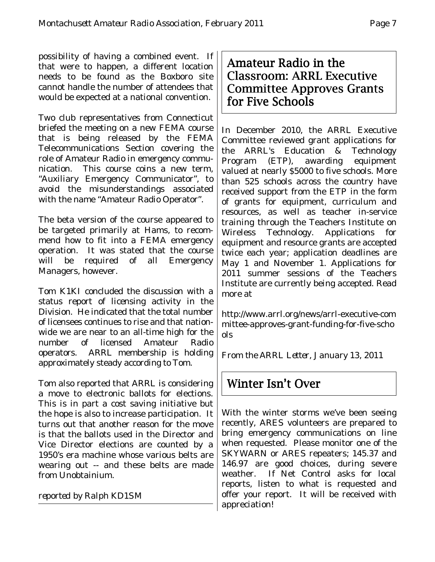possibility of having a combined event. If that were to happen, a different location needs to be found as the Boxboro site cannot handle the number of attendees that would be expected at a national convention.

Two club representatives from Connecticut briefed the meeting on a new FEMA course that is being released by the FEMA Telecommunications Section covering the role of Amateur Radio in emergency communication. This course coins a new term, "Auxiliary Emergency Communicator", to avoid the misunderstandings associated with the name "Amateur Radio Operator".

The beta version of the course appeared to be targeted primarily at Hams, to recommend how to fit into a FEMA emergency operation. It was stated that the course will be required of all Emergency Managers, however.

Tom K1KI concluded the discussion with a status report of licensing activity in the Division. He indicated that the total number of licensees continues to rise and that nationwide we are near to an all-time high for the number of licensed Amateur Radio operators. ARRL membership is holding approximately steady according to Tom.

Tom also reported that ARRL is considering a move to electronic ballots for elections. This is in part a cost saving initiative but the hope is also to increase participation. It turns out that another reason for the move is that the ballots used in the Director and Vice Director elections are counted by a 1950's era machine whose various belts are wearing out -- and these belts are made from Unobtainium.

*reported by Ralph KD1SM*

Amateur Radio in the Classroom: ARRL Executive Committee Approves Grants for Five Schools

In December 2010, the ARRL Executive Committee reviewed grant applications for the ARRL's Education & Technology Program (ETP), awarding equipment valued at nearly \$5000 to five schools. More than 525 schools across the country have received support from the ETP in the form of grants for equipment, curriculum and resources, as well as teacher in-service training through the Teachers Institute on Wireless Technology. Applications for equipment and resource grants are accepted twice each year; application deadlines are May 1 and November 1. Applications for 2011 summer sessions of the Teachers Institute are currently being accepted. Read more at

http://www.arrl.org/news/arrl-executive-com mittee-approves-grant-funding-for-five-scho ols

*From the ARRL Letter, January 13, 2011*

## Winter Isn't Over

With the winter storms we've been seeing recently, ARES volunteers are prepared to bring emergency communications on line when requested. Please monitor one of the SKYWARN or ARES repeaters; 145.37 and 146.97 are good choices, during severe weather. If Net Control asks for local reports, listen to what is requested and offer your report. It will be received with appreciation!